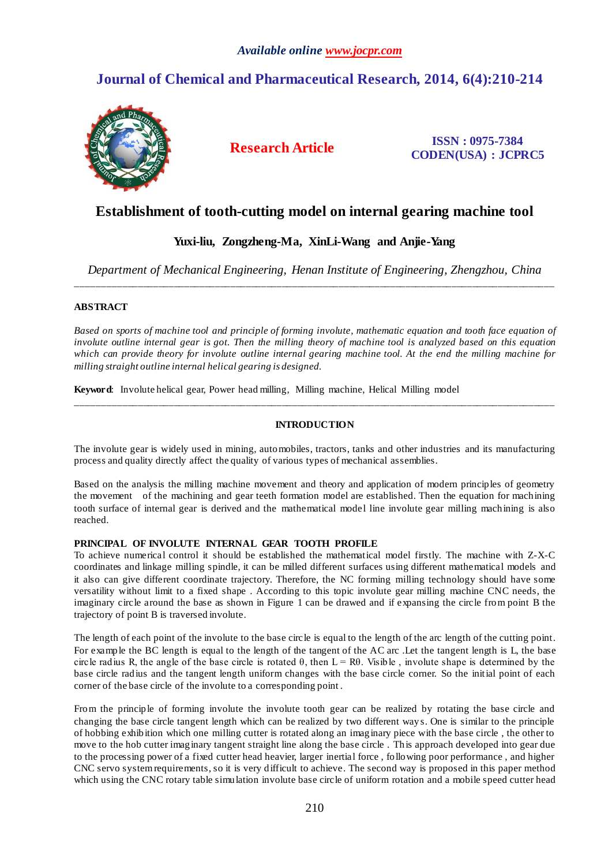## *Available online www.jocpr.com*

# **Journal of Chemical and Pharmaceutical Research, 2014, 6(4):210-214**



**Research Article ISSN : 0975-7384 CODEN(USA) : JCPRC5**

# **Establishment of tooth-cutting model on internal gearing machine tool**

## **Yuxi-liu, Zongzheng-Ma, XinLi-Wang and Anjie-Yang**

*Department of Mechanical Engineering, Henan Institute of Engineering, Zhengzhou, China* \_\_\_\_\_\_\_\_\_\_\_\_\_\_\_\_\_\_\_\_\_\_\_\_\_\_\_\_\_\_\_\_\_\_\_\_\_\_\_\_\_\_\_\_\_\_\_\_\_\_\_\_\_\_\_\_\_\_\_\_\_\_\_\_\_\_\_\_\_\_\_\_\_\_\_\_\_\_\_\_\_\_\_\_\_\_\_\_\_\_\_\_\_

### **ABSTRACT**

*Based on sports of machine tool and principle of forming involute, mathematic equation and tooth face equation of involute outline internal gear is got. Then the milling theory of machine tool is analyzed based on this equation which can provide theory for involute outline internal gearing machine tool. At the end the milling machine for milling straight outline internal helical gearing is designed.*

**Keyword**: Involute helical gear, Power head milling, Milling machine, Helical Milling model

### **INTRODUCTION**

\_\_\_\_\_\_\_\_\_\_\_\_\_\_\_\_\_\_\_\_\_\_\_\_\_\_\_\_\_\_\_\_\_\_\_\_\_\_\_\_\_\_\_\_\_\_\_\_\_\_\_\_\_\_\_\_\_\_\_\_\_\_\_\_\_\_\_\_\_\_\_\_\_\_\_\_\_\_\_\_\_\_\_\_\_\_\_\_\_\_\_\_\_

The involute gear is widely used in mining, automobiles, tractors, tanks and other industries and its manufacturing process and quality directly affect the quality of various types of mechanical assemblies.

Based on the analysis the milling machine movement and theory and application of modern principles of geometry the movement of the machining and gear teeth formation model are established. Then the equation for machining tooth surface of internal gear is derived and the mathematical model line involute gear milling machining is also reached.

#### **PRINCIPAL OF INVOLUTE INTERNAL GEAR TOOTH PROFILE**

To achieve numerical control it should be established the mathematical model firstly. The machine with Z-X-C coordinates and linkage milling spindle, it can be milled different surfaces using different mathematical models and it also can give different coordinate trajectory. Therefore, the NC forming milling technology should have some versatility without limit to a fixed shape . According to this topic involute gear milling machine CNC needs, the imaginary circle around the base as shown in Figure 1 can be drawed and if expansing the circle from point B the trajectory of point B is traversed involute.

The length of each point of the involute to the base circle is equal to the length of the arc length of the cutting point. For example the BC length is equal to the length of the tangent of the AC arc .Let the tangent length is L, the base circle radius R, the angle of the base circle is rotated  $\theta$ , then  $L = R\theta$ . Visible, involute shape is determined by the base circle radius and the tangent length uniform changes with the base circle corner. So the initial point of each corner of the base circle of the involute to a corresponding point .

From the principle of forming involute the involute tooth gear can be realized by rotating the base circle and changing the base circle tangent length which can be realized by two different way s. One is similar to the principle of hobbing exhibition which one milling cutter is rotated along an imaginary piece with the base circle , the other to move to the hob cutter imaginary tangent straight line along the base circle . This approach developed into gear due to the processing power of a fixed cutter head heavier, larger inertial force , following poor performance , and higher CNC servo system requirements, so it is very difficult to achieve. The second way is proposed in this paper method which using the CNC rotary table simulation involute base circle of uniform rotation and a mobile speed cutter head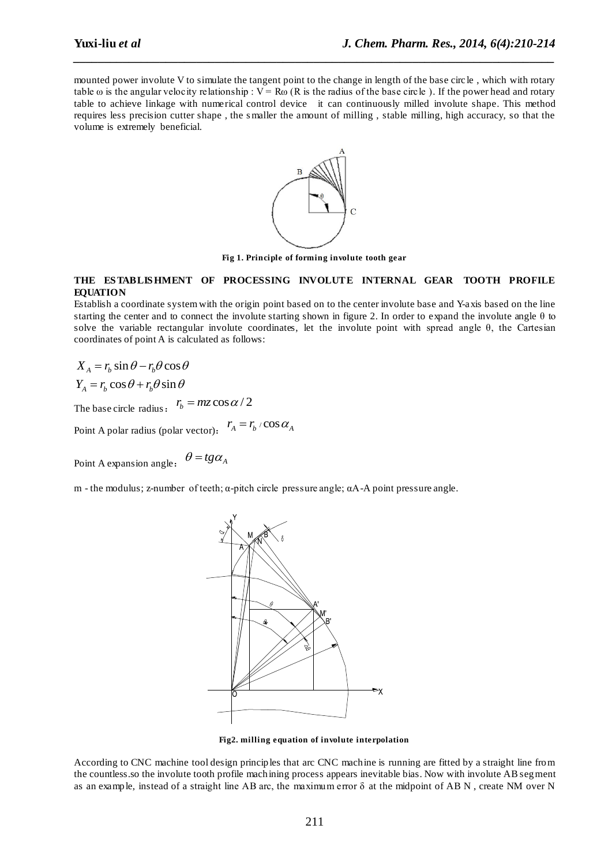mounted power involute V to simulate the tangent point to the change in length of the base circle, which with rotary table  $\omega$  is the angular velocity relationship :  $V = R\omega$  (R is the radius of the base circle ). If the power head and rotary table to achieve linkage with numerical control device it can continuously milled involute shape. This method requires less precision cutter shape , the s maller the amount of milling , stable milling, high accuracy, so that the volume is extremely beneficial.

*\_\_\_\_\_\_\_\_\_\_\_\_\_\_\_\_\_\_\_\_\_\_\_\_\_\_\_\_\_\_\_\_\_\_\_\_\_\_\_\_\_\_\_\_\_\_\_\_\_\_\_\_\_\_\_\_\_\_\_\_\_\_\_\_\_\_\_\_\_\_\_\_\_\_\_\_\_\_*



**Fig 1. Principle of forming involute tooth gear**

#### **THE ES TABLIS HMENT OF PROCESSING INVOLUTE INTERNAL GEAR TOOTH PROFILE EQUATION**

Establish a coordinate systemwith the origin point based on to the center involute base and Y-axis based on the line starting the center and to connect the involute starting shown in figure 2. In order to expand the involute angle  $\theta$  to solve the variable rectangular involute coordinates, let the involute point with spread angle θ, the Cartesian coordinates of point A is calculated as follows:

$$
X_A = r_b \sin \theta - r_b \theta \cos \theta
$$
  

$$
Y_A = r_b \cos \theta + r_b \theta \sin \theta
$$

The base circle radius:  $r_b = mz \cos \alpha / 2$ 

Point A polar radius (polar vector):  $r_A = r_b / \cos \alpha_A$ 

Point A expansion angle:  $\theta = t g \alpha_A$ 

m - the modulus; z-number of teeth; α-pitch circle pressure angle; αA-A point pressure angle.



**Fig2. milling equation of involute interpolation**

According to CNC machine tool design principles that arc CNC machine is running are fitted by a straight line from the countless.so the involute tooth profile machining process appears inevitable bias. Now with involute AB segment as an example, instead of a straight line AB arc, the maximum error δ at the midpoint of AB N , create NM over N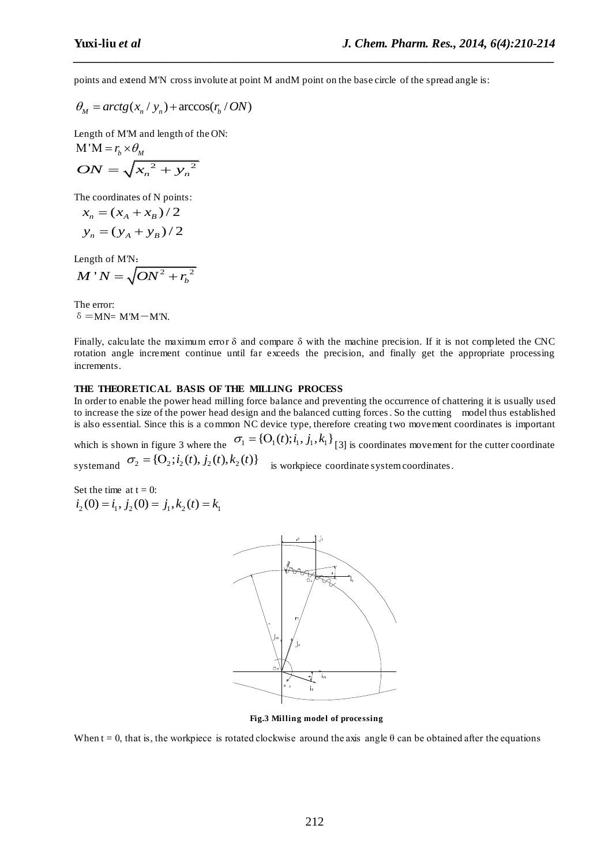points and extend M'N cross involute at point M and M point on the base circle of the spread angle is:

*\_\_\_\_\_\_\_\_\_\_\_\_\_\_\_\_\_\_\_\_\_\_\_\_\_\_\_\_\_\_\_\_\_\_\_\_\_\_\_\_\_\_\_\_\_\_\_\_\_\_\_\_\_\_\_\_\_\_\_\_\_\_\_\_\_\_\_\_\_\_\_\_\_\_\_\_\_\_*

 $\theta_M = \arctg(x_n / y_n) + \arccos(r_b / ON)$ 

Length of M'M and length of the ON:

$$
M'M = r_b \times \theta_M
$$
  

$$
ON = \sqrt{x_n^2 + y_n^2}
$$

The coordinates of N points:

$$
x_n = (x_A + x_B)/2
$$
  

$$
y_n = (y_A + y_B)/2
$$

Length of M'N:

$$
M'N=\sqrt{ON^2+{r_b}^2}
$$

The error:  $δ = MN = M'M - M'N$ .

Finally, calculate the maximum error  $\delta$  and compare  $\delta$  with the machine precision. If it is not completed the CNC rotation angle increment continue until far exceeds the precision, and finally get the appropriate processing increments.

### **THE THEORETICAL BASIS OF THE MILLING PROCESS**

In order to enable the power head milling force balance and preventing the occurrence of chattering it is usually used to increase the size of the power head design and the balanced cutting forces. So the cutting model thus established is also essential. Since this is a common NC device type, therefore creating two movement coordinates is important

which is shown in figure 3 where the  $\sigma_1 = \{O_1(t); i_1, j_1, k_1\}$  [3] is coordinates movement for the cutter coordinate which is shown in figure 3 where the<br>
systemand  $\sigma_2 = \{O_2; i_2(t), i_2(t), k_2(t)\}$  is workpiece coordinate system coordinates.

Set the time at  $t = 0$ :  $i_2$  (0) =  $i_1$ ,  $j_2$  (0) =  $j_1$ ,  $k_2$  (t) =  $k_1$ 



**Fig.3 Milling model of processing**

When  $t = 0$ , that is, the workpiece is rotated clockwise around the axis angle  $\theta$  can be obtained after the equations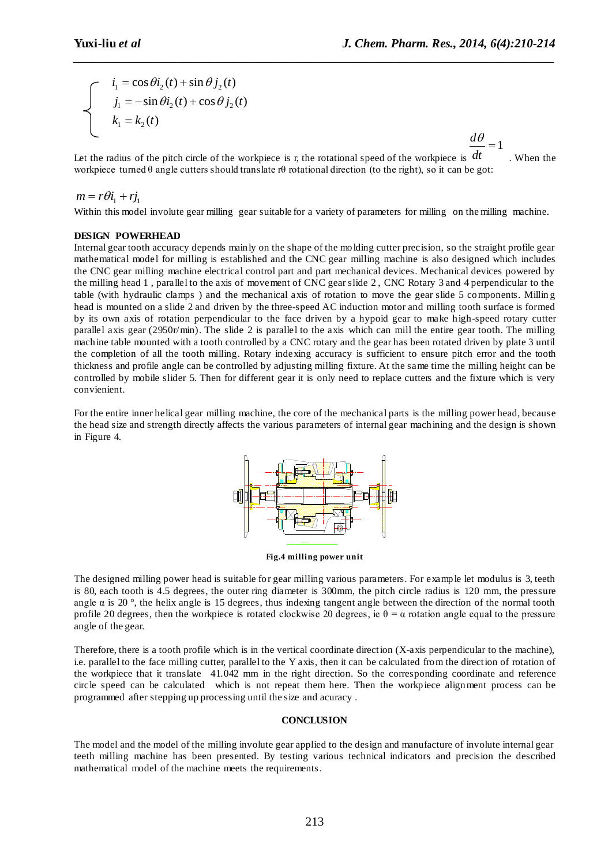$d\theta$ 

$$
\begin{cases}\n i_1 = \cos \theta i_2(t) + \sin \theta j_2(t) \\
 j_1 = -\sin \theta i_2(t) + \cos \theta j_2(t) \\
 k_1 = k_2(t)\n\end{cases}
$$

Let the radius of the pitch circle of the workpiece is r, the rotational speed of the workpiece is 1 *dt*  $=$ . When the workpiece turned  $\theta$  angle cutters should translate r $\theta$  rotational direction (to the right), so it can be got:

*\_\_\_\_\_\_\_\_\_\_\_\_\_\_\_\_\_\_\_\_\_\_\_\_\_\_\_\_\_\_\_\_\_\_\_\_\_\_\_\_\_\_\_\_\_\_\_\_\_\_\_\_\_\_\_\_\_\_\_\_\_\_\_\_\_\_\_\_\_\_\_\_\_\_\_\_\_\_*

#### $m = r\theta i_1 + r j_1$

Within this model involute gear milling gear suitable for a variety of parameters for milling on the milling machine.

#### **DESIGN POWERHEAD**

Internal gear tooth accuracy depends mainly on the shape of the molding cutter precision, so the straight profile gear mathematical model for milling is established and the CNC gear milling machine is also designed which includes the CNC gear milling machine electrical control part and part mechanical devices. Mechanical devices powered by the milling head 1 , parallel to the axis of movement of CNC gear slide 2 , CNC Rotary 3 and 4 perpendicular to the table (with hydraulic clamps ) and the mechanical axis of rotation to move the gear slide 5 components. Millin g head is mounted on a slide 2 and driven by the three-speed AC induction motor and milling tooth surface is formed by its own axis of rotation perpendicular to the face driven by a hypoid gear to make high-speed rotary cutter parallel axis gear (2950r/min). The slide 2 is parallel to the axis which can mill the entire gear tooth. The milling machine table mounted with a tooth controlled by a CNC rotary and the gear has been rotated driven by plate 3 until the completion of all the tooth milling. Rotary indexing accuracy is sufficient to ensure pitch error and the tooth thickness and profile angle can be controlled by adjusting milling fixture. At the same time the milling height can be controlled by mobile slider 5. Then for different gear it is only need to replace cutters and the fixture which is very convienient.

For the entire inner helical gear milling machine, the core of the mechanical parts is the milling power head, because the head size and strength directly affects the various parameters of internal gear machining and the design is shown in Figure 4.



**Fig.4 milling power unit**

The designed milling power head is suitable for gear milling various parameters. For example let modulus is 3, teeth is 80, each tooth is 4.5 degrees, the outer ring diameter is 300mm, the pitch circle radius is 120 mm, the pressure angle  $\alpha$  is 20 °, the helix angle is 15 degrees, thus indexing tangent angle between the direction of the normal tooth profile 20 degrees, then the workpiece is rotated clockwise 20 degrees, ie  $\theta = \alpha$  rotation angle equal to the pressure angle of the gear.

Therefore, there is a tooth profile which is in the vertical coordinate direction (X-axis perpendicular to the machine), i.e. parallel to the face milling cutter, parallel to the Y axis, then it can be calculated from the direction of rotation of the workpiece that it translate 41.042 mm in the right direction. So the corresponding coordinate and reference circle speed can be calculated which is not repeat them here. Then the workpiece alignment process can be programmed after stepping up processing until the size and acuracy .

#### **CONCLUSION**

The model and the model of the milling involute gear applied to the design and manufacture of involute internal gear teeth milling machine has been presented. By testing various technical indicators and precision the described mathematical model of the machine meets the requirements.